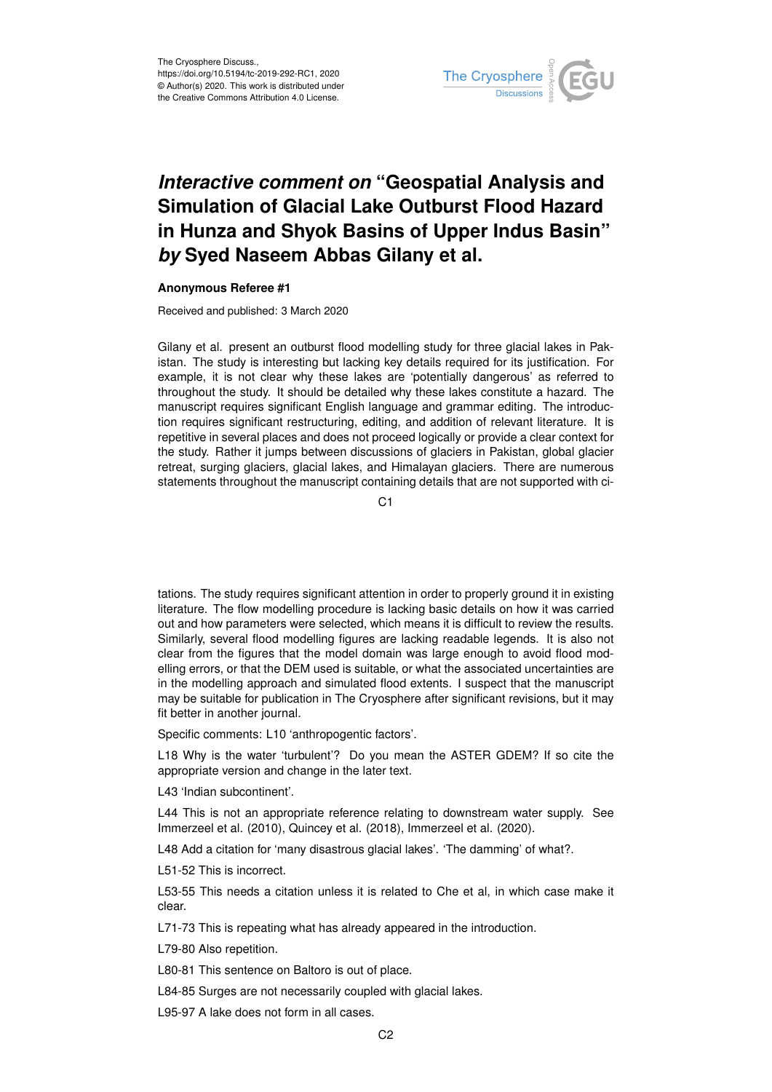

## *Interactive comment on* **"Geospatial Analysis and Simulation of Glacial Lake Outburst Flood Hazard in Hunza and Shyok Basins of Upper Indus Basin"** *by* **Syed Naseem Abbas Gilany et al.**

## **Anonymous Referee #1**

Received and published: 3 March 2020

Gilany et al. present an outburst flood modelling study for three glacial lakes in Pakistan. The study is interesting but lacking key details required for its justification. For example, it is not clear why these lakes are 'potentially dangerous' as referred to throughout the study. It should be detailed why these lakes constitute a hazard. The manuscript requires significant English language and grammar editing. The introduction requires significant restructuring, editing, and addition of relevant literature. It is repetitive in several places and does not proceed logically or provide a clear context for the study. Rather it jumps between discussions of glaciers in Pakistan, global glacier retreat, surging glaciers, glacial lakes, and Himalayan glaciers. There are numerous statements throughout the manuscript containing details that are not supported with ci-

C1

tations. The study requires significant attention in order to properly ground it in existing literature. The flow modelling procedure is lacking basic details on how it was carried out and how parameters were selected, which means it is difficult to review the results. Similarly, several flood modelling figures are lacking readable legends. It is also not clear from the figures that the model domain was large enough to avoid flood modelling errors, or that the DEM used is suitable, or what the associated uncertainties are in the modelling approach and simulated flood extents. I suspect that the manuscript may be suitable for publication in The Cryosphere after significant revisions, but it may fit better in another journal.

Specific comments: L10 'anthropogentic factors'.

L18 Why is the water 'turbulent'? Do you mean the ASTER GDEM? If so cite the appropriate version and change in the later text.

L43 'Indian subcontinent'.

L44 This is not an appropriate reference relating to downstream water supply. See Immerzeel et al. (2010), Quincey et al. (2018), Immerzeel et al. (2020).

L48 Add a citation for 'many disastrous glacial lakes'. 'The damming' of what?.

L51-52 This is incorrect.

L53-55 This needs a citation unless it is related to Che et al, in which case make it clear.

L71-73 This is repeating what has already appeared in the introduction.

L79-80 Also repetition.

L80-81 This sentence on Baltoro is out of place.

L84-85 Surges are not necessarily coupled with glacial lakes.

L95-97 A lake does not form in all cases.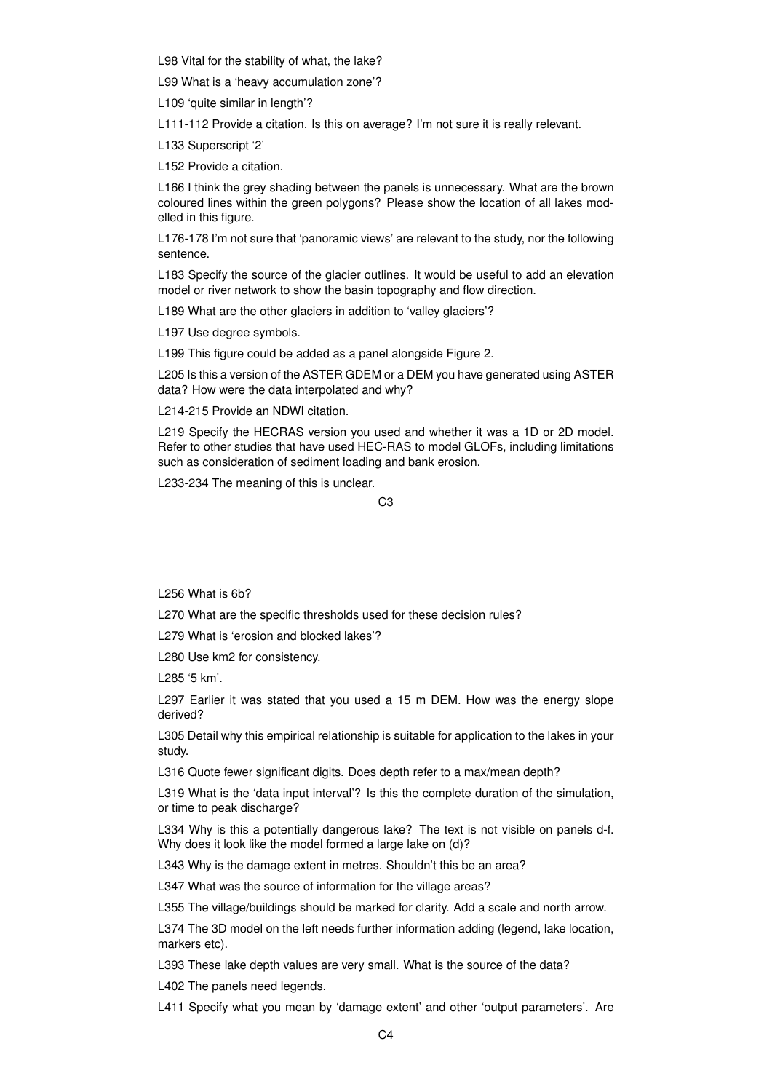L98 Vital for the stability of what, the lake?

L99 What is a 'heavy accumulation zone'?

L109 'quite similar in length'?

L111-112 Provide a citation. Is this on average? I'm not sure it is really relevant.

L133 Superscript '2'

L152 Provide a citation.

L166 I think the grey shading between the panels is unnecessary. What are the brown coloured lines within the green polygons? Please show the location of all lakes modelled in this figure.

L176-178 I'm not sure that 'panoramic views' are relevant to the study, nor the following sentence.

L183 Specify the source of the glacier outlines. It would be useful to add an elevation model or river network to show the basin topography and flow direction.

L189 What are the other glaciers in addition to 'valley glaciers'?

L197 Use degree symbols.

L199 This figure could be added as a panel alongside Figure 2.

L205 Is this a version of the ASTER GDEM or a DEM you have generated using ASTER data? How were the data interpolated and why?

L214-215 Provide an NDWI citation.

L219 Specify the HECRAS version you used and whether it was a 1D or 2D model. Refer to other studies that have used HEC-RAS to model GLOFs, including limitations such as consideration of sediment loading and bank erosion.

L233-234 The meaning of this is unclear.

 $C<sub>3</sub>$ 

L256 What is 6b?

L270 What are the specific thresholds used for these decision rules?

L279 What is 'erosion and blocked lakes'?

L280 Use km2 for consistency.

L285 '5 km'.

L297 Earlier it was stated that you used a 15 m DEM. How was the energy slope derived?

L305 Detail why this empirical relationship is suitable for application to the lakes in your study.

L316 Quote fewer significant digits. Does depth refer to a max/mean depth?

L319 What is the 'data input interval'? Is this the complete duration of the simulation, or time to peak discharge?

L334 Why is this a potentially dangerous lake? The text is not visible on panels d-f. Why does it look like the model formed a large lake on (d)?

L343 Why is the damage extent in metres. Shouldn't this be an area?

L347 What was the source of information for the village areas?

L355 The village/buildings should be marked for clarity. Add a scale and north arrow.

L374 The 3D model on the left needs further information adding (legend, lake location, markers etc).

L393 These lake depth values are very small. What is the source of the data?

L402 The panels need legends.

L411 Specify what you mean by 'damage extent' and other 'output parameters'. Are